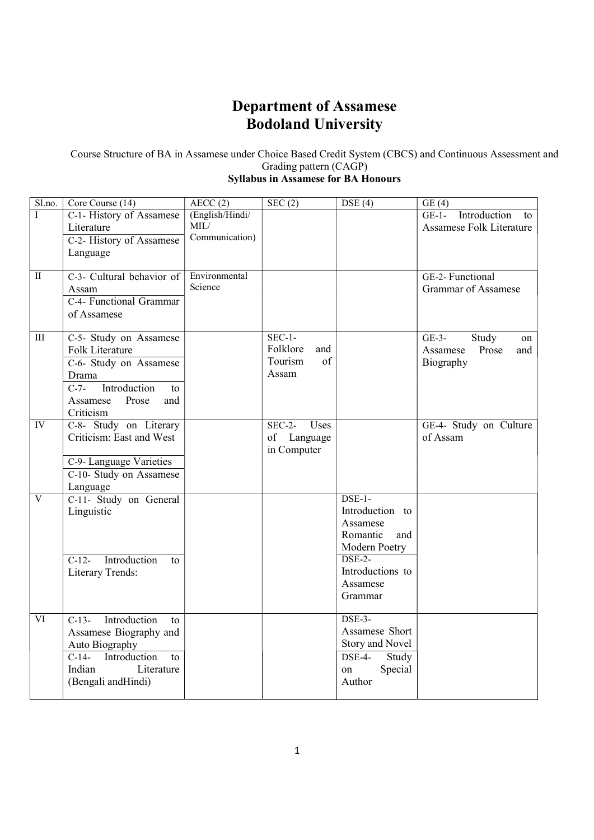# Department of Assamese Bodoland University

Course Structure of BA in Assamese under Choice Based Credit System (CBCS) and Continuous Assessment and Grading pattern (CAGP)

# Syllabus in Assamese for BA Honours

| Sl.no.                 | Core Course (14)              | AECC(2)         | SEC(2)           | DSE(4)                      | GE(4)                           |
|------------------------|-------------------------------|-----------------|------------------|-----------------------------|---------------------------------|
| I                      | C-1- History of Assamese      | (English/Hindi/ |                  |                             | Introduction<br>$GE-1-$<br>to   |
|                        | Literature                    | MIL/            |                  |                             | <b>Assamese Folk Literature</b> |
|                        | C-2- History of Assamese      | Communication)  |                  |                             |                                 |
|                        | Language                      |                 |                  |                             |                                 |
|                        |                               |                 |                  |                             |                                 |
| $\rm II$               | C-3- Cultural behavior of     | Environmental   |                  |                             | GE-2- Functional                |
|                        | Assam                         | Science         |                  |                             | <b>Grammar of Assamese</b>      |
|                        | C-4- Functional Grammar       |                 |                  |                             |                                 |
|                        | of Assamese                   |                 |                  |                             |                                 |
|                        |                               |                 |                  |                             |                                 |
| $\overline{III}$       | C-5- Study on Assamese        |                 | $SEC-1-$         |                             | Study<br>$GE-3-$<br>on          |
|                        | Folk Literature               |                 | Folklore<br>and  |                             | Prose<br>Assamese<br>and        |
|                        | C-6- Study on Assamese        |                 | of<br>Tourism    |                             | Biography                       |
|                        | Drama                         |                 | Assam            |                             |                                 |
|                        | Introduction<br>$C-7-$<br>to  |                 |                  |                             |                                 |
|                        | Assamese<br>Prose<br>and      |                 |                  |                             |                                 |
|                        | Criticism                     |                 |                  |                             |                                 |
| IV                     | C-8- Study on Literary        |                 | Uses<br>$SEC-2-$ |                             | GE-4- Study on Culture          |
|                        | Criticism: East and West      |                 | of Language      |                             | of Assam                        |
|                        |                               |                 | in Computer      |                             |                                 |
|                        | C-9- Language Varieties       |                 |                  |                             |                                 |
|                        | C-10- Study on Assamese       |                 |                  |                             |                                 |
|                        | Language                      |                 |                  |                             |                                 |
| $\overline{V}$         | C-11- Study on General        |                 |                  | $DSE-1-$                    |                                 |
|                        | Linguistic                    |                 |                  | Introduction to             |                                 |
|                        |                               |                 |                  | Assamese                    |                                 |
|                        |                               |                 |                  | Romantic<br>and             |                                 |
|                        |                               |                 |                  | Modern Poetry               |                                 |
|                        | Introduction<br>$C-12-$<br>to |                 |                  | $DSE-2-$                    |                                 |
|                        | Literary Trends:              |                 |                  | Introductions to            |                                 |
|                        |                               |                 |                  | Assamese                    |                                 |
|                        |                               |                 |                  | Grammar                     |                                 |
| $\overline{\text{VI}}$ |                               |                 |                  | $\overline{\text{DSE-3}}$ - |                                 |
|                        | Introduction<br>$C-13-$<br>to |                 |                  | Assamese Short              |                                 |
|                        | Assamese Biography and        |                 |                  |                             |                                 |
|                        | Auto Biography                |                 |                  | Story and Novel             |                                 |
|                        | C-14- Introduction<br>to      |                 |                  | DSE-4-<br>Study             |                                 |
|                        | Indian<br>Literature          |                 |                  | Special<br>on               |                                 |
|                        | (Bengali andHindi)            |                 |                  | Author                      |                                 |
|                        |                               |                 |                  |                             |                                 |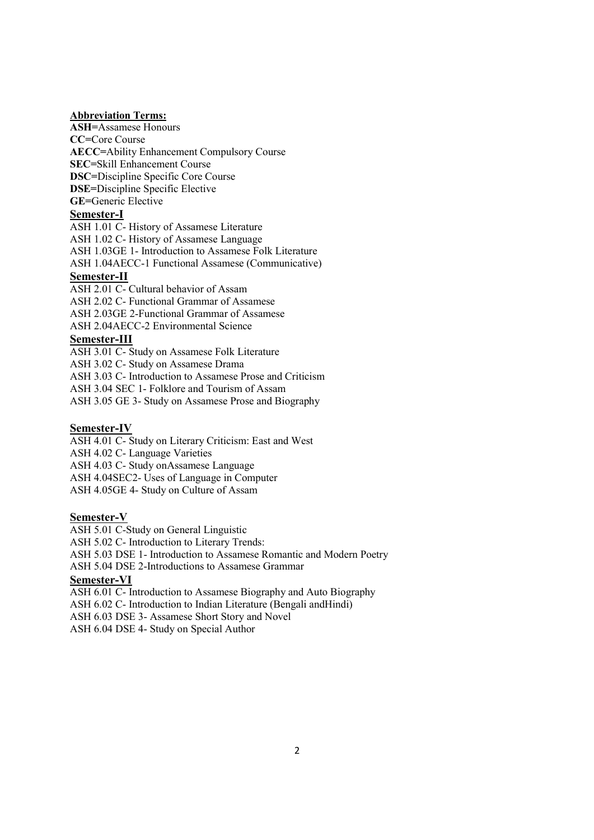### Abbreviation Terms:

ASH=Assamese Honours CC=Core Course AECC=Ability Enhancement Compulsory Course SEC=Skill Enhancement Course DSC=Discipline Specific Core Course DSE=Discipline Specific Elective GE=Generic Elective Semester-I

ASH 1.01 C- History of Assamese Literature ASH 1.02 C- History of Assamese Language ASH 1.03GE 1- Introduction to Assamese Folk Literature ASH 1.04AECC-1 Functional Assamese (Communicative)

### Semester-II

ASH 2.01 C- Cultural behavior of Assam ASH 2.02 C- Functional Grammar of Assamese ASH 2.03GE 2-Functional Grammar of Assamese ASH 2.04AECC-2 Environmental Science

### Semester-III

ASH 3.01 C- Study on Assamese Folk Literature ASH 3.02 C- Study on Assamese Drama ASH 3.03 C- Introduction to Assamese Prose and Criticism ASH 3.04 SEC 1- Folklore and Tourism of Assam ASH 3.05 GE 3- Study on Assamese Prose and Biography

### Semester-IV

ASH 4.01 C- Study on Literary Criticism: East and West ASH 4.02 C- Language Varieties ASH 4.03 C- Study onAssamese Language ASH 4.04SEC2- Uses of Language in Computer ASH 4.05GE 4- Study on Culture of Assam

#### Semester-V

ASH 5.01 C-Study on General Linguistic ASH 5.02 C- Introduction to Literary Trends: ASH 5.03 DSE 1- Introduction to Assamese Romantic and Modern Poetry ASH 5.04 DSE 2-Introductions to Assamese Grammar Semester-VI ASH 6.01 C- Introduction to Assamese Biography and Auto Biography ASH 6.02 C- Introduction to Indian Literature (Bengali andHindi) ASH 6.03 DSE 3- Assamese Short Story and Novel

ASH 6.04 DSE 4- Study on Special Author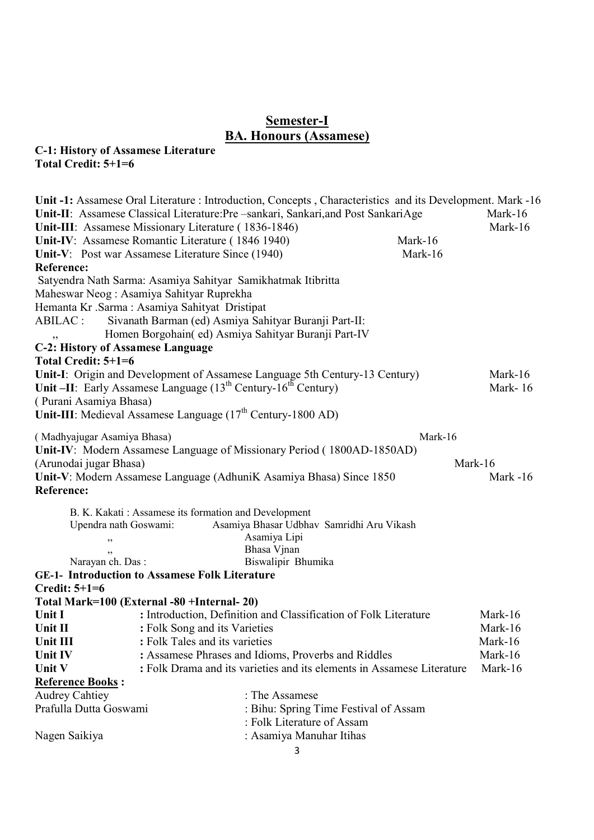# Semester-I BA. Honours (Assamese)

# C-1: History of Assamese Literature

Total Credit: 5+1=6

|                                          |                                                                         | Unit -1: Assamese Oral Literature : Introduction, Concepts, Characteristics and its Development. Mark -16 |         |          |
|------------------------------------------|-------------------------------------------------------------------------|-----------------------------------------------------------------------------------------------------------|---------|----------|
|                                          |                                                                         | Unit-II: Assamese Classical Literature: Pre -sankari, Sankari, and Post SankariAge                        |         | Mark-16  |
|                                          | Unit-III: Assamese Missionary Literature (1836-1846)                    |                                                                                                           |         | Mark-16  |
|                                          | Unit-IV: Assamese Romantic Literature (1846 1940)                       |                                                                                                           | Mark-16 |          |
|                                          | Unit-V: Post war Assamese Literature Since (1940)                       |                                                                                                           | Mark-16 |          |
| Reference:                               |                                                                         |                                                                                                           |         |          |
|                                          | Satyendra Nath Sarma: Asamiya Sahityar Samikhatmak Itibritta            |                                                                                                           |         |          |
|                                          | Maheswar Neog: Asamiya Sahityar Ruprekha                                |                                                                                                           |         |          |
|                                          | Hemanta Kr .Sarma : Asamiya Sahityat Dristipat                          |                                                                                                           |         |          |
| ABILAC:                                  |                                                                         | Sivanath Barman (ed) Asmiya Sahityar Buranji Part-II:                                                     |         |          |
| ,,                                       |                                                                         | Homen Borgohain( ed) Asmiya Sahityar Buranji Part-IV                                                      |         |          |
| <b>C-2: History of Assamese Language</b> |                                                                         |                                                                                                           |         |          |
| Total Credit: 5+1=6                      |                                                                         |                                                                                                           |         |          |
|                                          |                                                                         | Unit-I: Origin and Development of Assamese Language 5th Century-13 Century)                               |         | Mark-16  |
|                                          | Unit -II: Early Assamese Language $(13th Century-16th Century)$         |                                                                                                           |         | Mark-16  |
| (Purani Asamiya Bhasa)                   |                                                                         |                                                                                                           |         |          |
|                                          | Unit-III: Medieval Assamese Language (17 <sup>th</sup> Century-1800 AD) |                                                                                                           |         |          |
| (Madhyajugar Asamiya Bhasa)              |                                                                         |                                                                                                           | Mark-16 |          |
|                                          |                                                                         | Unit-IV: Modern Assamese Language of Missionary Period (1800AD-1850AD)                                    |         |          |
| (Arunodai jugar Bhasa)                   |                                                                         |                                                                                                           |         | Mark-16  |
|                                          |                                                                         | Unit-V: Modern Assamese Language (AdhuniK Asamiya Bhasa) Since 1850                                       |         | Mark -16 |
| Reference:                               |                                                                         |                                                                                                           |         |          |
|                                          |                                                                         |                                                                                                           |         |          |
|                                          | B. K. Kakati: Assamese its formation and Development                    |                                                                                                           |         |          |
| Upendra nath Goswami:                    |                                                                         | Asamiya Bhasar Udbhav Samridhi Aru Vikash                                                                 |         |          |
| ,,                                       |                                                                         | Asamiya Lipi                                                                                              |         |          |
|                                          |                                                                         | Bhasa Vjnan                                                                                               |         |          |
| Narayan ch. Das:                         |                                                                         | Biswalipir Bhumika                                                                                        |         |          |
|                                          | <b>GE-1- Introduction to Assamese Folk Literature</b>                   |                                                                                                           |         |          |
| <b>Credit: 5+1=6</b>                     |                                                                         |                                                                                                           |         |          |
|                                          | Total Mark=100 (External -80 +Internal- 20)                             |                                                                                                           |         |          |
| Unit I                                   |                                                                         | : Introduction, Definition and Classification of Folk Literature                                          |         | Mark-16  |
| Unit II                                  | : Folk Song and its Varieties                                           |                                                                                                           |         | Mark-16  |
| Unit III                                 | : Folk Tales and its varieties                                          |                                                                                                           |         | Mark-16  |
| Unit IV                                  |                                                                         | : Assamese Phrases and Idioms, Proverbs and Riddles                                                       |         | Mark-16  |
| Unit V                                   |                                                                         | : Folk Drama and its varieties and its elements in Assamese Literature                                    |         | Mark-16  |
| <b>Reference Books:</b>                  |                                                                         |                                                                                                           |         |          |
| <b>Audrey Cahtiey</b>                    |                                                                         | : The Assamese                                                                                            |         |          |
| Prafulla Dutta Goswami                   |                                                                         | : Bihu: Spring Time Festival of Assam                                                                     |         |          |
|                                          |                                                                         | : Folk Literature of Assam                                                                                |         |          |
| Nagen Saikiya                            |                                                                         | : Asamiya Manuhar Itihas                                                                                  |         |          |
|                                          |                                                                         | 3                                                                                                         |         |          |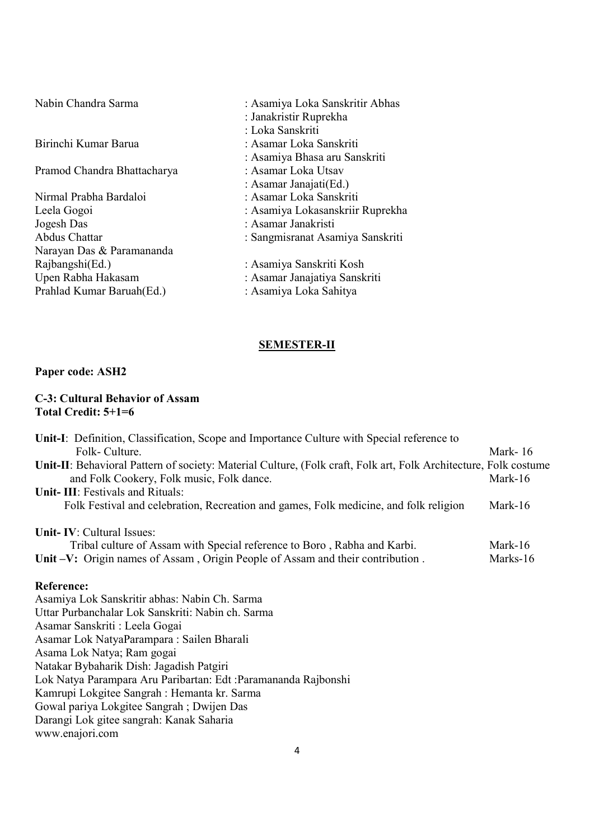Pramod Chandra Bhattacharya

- Nirmal Prabha Bardaloi : Asamar Loka Sanskriti Jogesh Das : Asamar Janakristi Narayan Das & Paramananda Rajbangshi(Ed.) : Asamiya Sanskriti Kosh<br>
Upen Rabha Hakasam : Asamar Janajatiya Sansk Prahlad Kumar Baruah(Ed.)
- Nabin Chandra Sarma : Asamiya Loka Sanskritir Abhas : Janakristir Ruprekha : Loka Sanskriti Birinchi Kumar Barua : Asamar Loka Sanskriti : Asamiya Bhasa aru Sanskriti : Asamar Janajati(Ed.) Leela Gogoi : Asamiya Lokasanskriir Ruprekha<br>Jogesh Das : Asamar Janakristi : Sangmisranat Asamiya Sanskriti : Asamar Janajatiya Sanskriti<br>: Asamiya Loka Sahitya

### SEMESTER-II

### Paper code: ASH2

### C-3: Cultural Behavior of Assam Total Credit: 5+1=6

| Unit-I: Definition, Classification, Scope and Importance Culture with Special reference to                       |          |
|------------------------------------------------------------------------------------------------------------------|----------|
| Folk-Culture.                                                                                                    | Mark-16  |
| Unit-II: Behavioral Pattern of society: Material Culture, (Folk craft, Folk art, Folk Architecture, Folk costume |          |
| and Folk Cookery, Folk music, Folk dance.                                                                        | Mark-16  |
| Unit-III: Festivals and Rituals:                                                                                 |          |
| Folk Festival and celebration, Recreation and games, Folk medicine, and folk religion                            | Mark-16  |
| <b>Unit-IV: Cultural Issues:</b>                                                                                 |          |
| Tribal culture of Assam with Special reference to Boro, Rabha and Karbi.                                         | Mark-16  |
| Unit –V: Origin names of Assam, Origin People of Assam and their contribution.                                   | Marks-16 |
| <b>Reference:</b>                                                                                                |          |
| Asamiya Lok Sanskritir abhas: Nabin Ch. Sarma                                                                    |          |
| Uttar Purbanchalar Lok Sanskriti: Nabin ch. Sarma                                                                |          |
| Asamar Sanskriti : Leela Gogai                                                                                   |          |
| Asamar Lok NatyaParampara: Sailen Bharali                                                                        |          |
| Asama Lok Natya; Ram gogai                                                                                       |          |
| Natakar Bybaharik Dish: Jagadish Patgiri                                                                         |          |
| Lok Natya Parampara Aru Paribartan: Edt :Paramananda Rajbonshi                                                   |          |
| Kamrupi Lokgitee Sangrah : Hemanta kr. Sarma                                                                     |          |
| Gowal pariya Lokgitee Sangrah; Dwijen Das                                                                        |          |
| Darangi Lok gitee sangrah: Kanak Saharia                                                                         |          |
| www.enajori.com                                                                                                  |          |
|                                                                                                                  |          |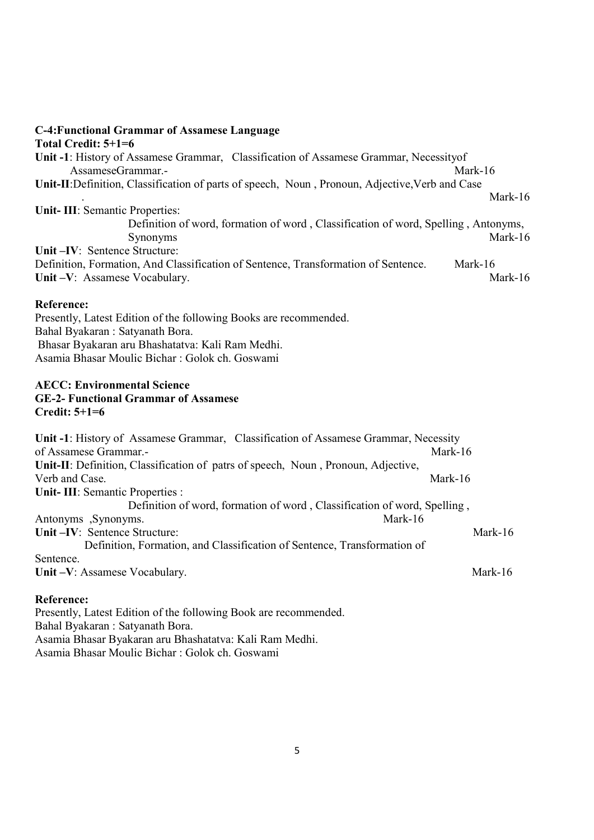### C-4:Functional Grammar of Assamese Language Total Credit: 5+1=6

Unit -1: History of Assamese Grammar, Classification of Assamese Grammar, Necessityof AssameseGrammar.- Mark-16 Unit-II:Definition, Classification of parts of speech, Noun , Pronoun, Adjective,Verb and Case . Mark-16 Unit- III: Semantic Properties: Definition of word, formation of word , Classification of word, Spelling , Antonyms, Synonyms Mark-16 Unit –IV: Sentence Structure: Definition, Formation, And Classification of Sentence, Transformation of Sentence. Mark-16 Unit –V: Assamese Vocabulary. Mark-16

### Reference:

Presently, Latest Edition of the following Books are recommended. Bahal Byakaran : Satyanath Bora. Bhasar Byakaran aru Bhashatatva: Kali Ram Medhi. Asamia Bhasar Moulic Bichar : Golok ch. Goswami

### AECC: Environmental Science GE-2- Functional Grammar of Assamese Credit: 5+1=6

| Unit -1: History of Assamese Grammar, Classification of Assamese Grammar, Necessity |            |
|-------------------------------------------------------------------------------------|------------|
| of Assamese Grammar.-                                                               | Mark-16    |
| Unit-II: Definition, Classification of patrs of speech, Noun, Pronoun, Adjective,   |            |
| Verb and Case.                                                                      | Mark-16    |
| <b>Unit-III: Semantic Properties :</b>                                              |            |
| Definition of word, formation of word, Classification of word, Spelling,            |            |
| Mark-16<br>Antonyms , Synonyms.                                                     |            |
| Unit-IV: Sentence Structure:                                                        | Mark- $16$ |
| Definition, Formation, and Classification of Sentence, Transformation of            |            |
| Sentence.                                                                           |            |
| Unit-V: Assamese Vocabulary.                                                        | Mark-16    |

### Reference:

Presently, Latest Edition of the following Book are recommended. Bahal Byakaran : Satyanath Bora. Asamia Bhasar Byakaran aru Bhashatatva: Kali Ram Medhi. Asamia Bhasar Moulic Bichar : Golok ch. Goswami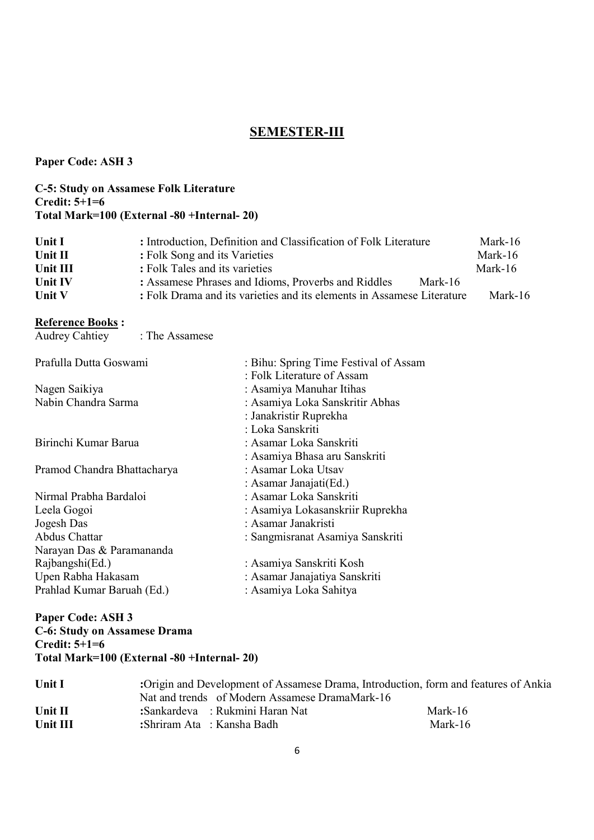# SEMESTER-III

Paper Code: ASH 3

### C-5: Study on Assamese Folk Literature Credit: 5+1=6 Total Mark=100 (External -80 +Internal- 20)

| Unit I<br>Unit II<br>Unit III | : Introduction, Definition and Classification of Folk Literature<br>: Folk Song and its Varieties<br>: Folk Tales and its varieties      | Mark-16<br>Mark-16<br>Mark-16 |
|-------------------------------|------------------------------------------------------------------------------------------------------------------------------------------|-------------------------------|
| <b>Unit IV</b>                | : Assamese Phrases and Idioms, Proverbs and Riddles<br>Mark-16<br>: Folk Drama and its varieties and its elements in Assamese Literature | Mark-16                       |
| Unit V                        |                                                                                                                                          |                               |

# Reference Books :

| Audrey Cahtiey : The Assamese |                                       |
|-------------------------------|---------------------------------------|
| Prafulla Dutta Goswami        | : Bihu: Spring Time Festival of Assam |
|                               | : Folk Literature of Assam            |
| Nagen Saikiya                 | : Asamiya Manuhar Itihas              |
| Nabin Chandra Sarma           | : Asamiya Loka Sanskritir Abhas       |
|                               | : Janakristir Ruprekha                |
|                               | : Loka Sanskriti                      |
| Birinchi Kumar Barua          | : Asamar Loka Sanskriti               |
|                               | : Asamiya Bhasa aru Sanskriti         |
| Pramod Chandra Bhattacharya   | : Asamar Loka Utsav                   |
|                               | : Asamar Janajati(Ed.)                |
| Nirmal Prabha Bardaloi        | : Asamar Loka Sanskriti               |
| Leela Gogoi                   | : Asamiya Lokasanskriir Ruprekha      |
| Jogesh Das                    | : Asamar Janakristi                   |
| Abdus Chattar                 | : Sangmisranat Asamiya Sanskriti      |
| Narayan Das & Paramananda     |                                       |
| Rajbangshi(Ed.)               | : Asamiya Sanskriti Kosh              |
| Upen Rabha Hakasam            | : Asamar Janajatiya Sanskriti         |
| Prahlad Kumar Baruah (Ed.)    | : Asamiya Loka Sahitya                |

## Paper Code: ASH 3 C-6: Study on Assamese Drama Credit: 5+1=6 Total Mark=100 (External -80 +Internal- 20)

| Unit I   | :Origin and Development of Assamese Drama, Introduction, form and features of Ankia |         |
|----------|-------------------------------------------------------------------------------------|---------|
|          | Nat and trends of Modern Assamese DramaMark-16                                      |         |
| Unit II  | :Sankardeva : Rukmini Haran Nat                                                     | Mark-16 |
| Unit III | :Shriram Ata : Kansha Badh                                                          | Mark-16 |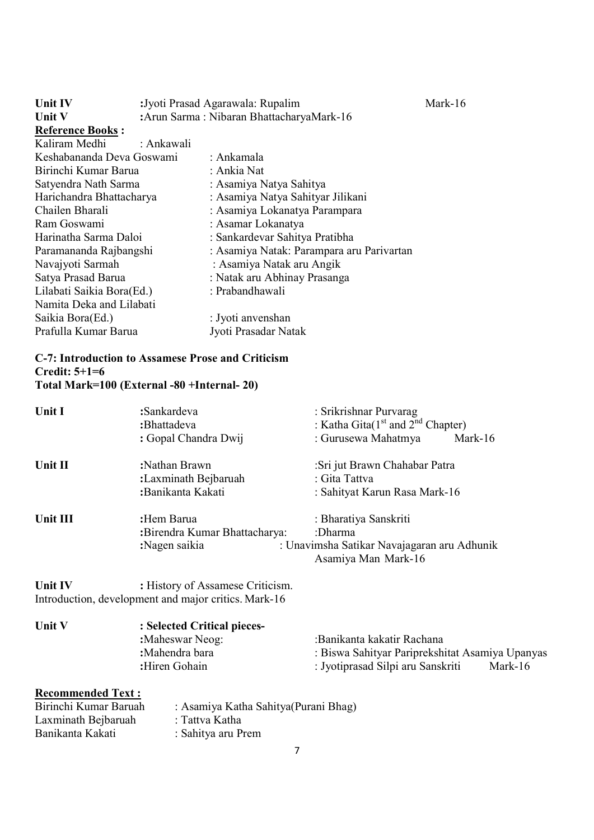| Unit IV                   | :Jyoti Prasad Agarawala: Rupalim |                                           | Mark-16 |  |
|---------------------------|----------------------------------|-------------------------------------------|---------|--|
| Unit V                    |                                  | :Arun Sarma: Nibaran BhattacharyaMark-16  |         |  |
| <b>Reference Books:</b>   |                                  |                                           |         |  |
| Kaliram Medhi             | : Ankawali                       |                                           |         |  |
| Keshabananda Deva Goswami |                                  | : Ankamala                                |         |  |
| Birinchi Kumar Barua      |                                  | : Ankia Nat                               |         |  |
| Satyendra Nath Sarma      |                                  | : Asamiya Natya Sahitya                   |         |  |
| Harichandra Bhattacharya  |                                  | : Asamiya Natya Sahityar Jilikani         |         |  |
| Chailen Bharali           |                                  | : Asamiya Lokanatya Parampara             |         |  |
| Ram Goswami               |                                  | : Asamar Lokanatya                        |         |  |
| Harinatha Sarma Daloi     |                                  | : Sankardevar Sahitya Pratibha            |         |  |
| Paramananda Rajbangshi    |                                  | : Asamiya Natak: Parampara aru Parivartan |         |  |
| Navajyoti Sarmah          |                                  | : Asamiya Natak aru Angik                 |         |  |
| Satya Prasad Barua        |                                  | : Natak aru Abhinay Prasanga              |         |  |
| Lilabati Saikia Bora(Ed.) |                                  | : Prabandhawali                           |         |  |
| Namita Deka and Lilabati  |                                  |                                           |         |  |
| Saikia Bora(Ed.)          |                                  | : Jyoti anvenshan                         |         |  |
| Prafulla Kumar Barua      |                                  | Jyoti Prasadar Natak                      |         |  |

# C-7: Introduction to Assamese Prose and Criticism Credit: 5+1=6 Total Mark=100 (External -80 +Internal- 20)

| Unit I                                       | :Sankardeva<br>:Bhattadeva<br>: Gopal Chandra Dwij                                       | : Srikrishnar Purvarag<br>: Katha Gita( $1st$ and $2nd$ Chapter)<br>: Gurusewa Mahatmya<br>Mark-16                            |
|----------------------------------------------|------------------------------------------------------------------------------------------|-------------------------------------------------------------------------------------------------------------------------------|
| Unit II                                      | :Nathan Brawn<br>:Laxminath Bejbaruah<br>:Banikanta Kakati                               | :Sri jut Brawn Chahabar Patra<br>: Gita Tattva<br>: Sahityat Karun Rasa Mark-16                                               |
| Unit III                                     | :Hem Barua<br>:Birendra Kumar Bhattacharya:<br>:Nagen saikia                             | : Bharatiya Sanskriti<br>:Dharma<br>: Unavimsha Satikar Navajagaran aru Adhunik<br>Asamiya Man Mark-16                        |
| Unit IV                                      | : History of Assamese Criticism.<br>Introduction, development and major critics. Mark-16 |                                                                                                                               |
| Unit V                                       | : Selected Critical pieces-<br>:Maheswar Neog:<br>:Mahendra bara<br>:Hiren Gohain        | :Banikanta kakatir Rachana<br>: Biswa Sahityar Pariprekshitat Asamiya Upanyas<br>: Jyotiprasad Silpi aru Sanskriti<br>Mark-16 |
| <b>Recommended Text:</b><br>$\sum_{i=1}^{n}$ | $\Lambda$ samive Katha Sahitya (Dynami Dhag)                                             |                                                                                                                               |

| Birinchi Kumar Baruah | : Asamiya Katha Sahitya (Purani Bhag) |
|-----------------------|---------------------------------------|
| Laxminath Bejbaruah   | : Tattva Katha                        |
| Banikanta Kakati      | : Sahitya aru Prem                    |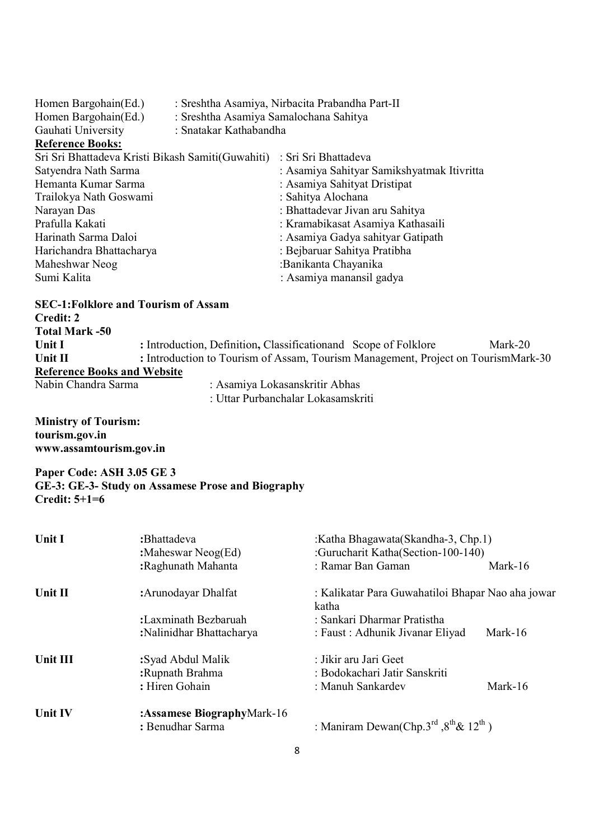| Homen Bargohain(Ed.)<br>: Sreshtha Asamiya Samalochana Sahitya<br>Gauhati University<br>: Snatakar Kathabandha | Homen Bargohain(Ed.)<br>: Sreshtha Asamiya, Nirbacita Prabandha Part-II |  |  |  |
|----------------------------------------------------------------------------------------------------------------|-------------------------------------------------------------------------|--|--|--|
| <b>Reference Books:</b>                                                                                        |                                                                         |  |  |  |
| Sri Sri Bhattadeva Kristi Bikash Samiti (Guwahiti)<br>: Sri Sri Bhattadeva                                     |                                                                         |  |  |  |
| Satyendra Nath Sarma<br>: Asamiya Sahityar Samikshyatmak Itivritta                                             |                                                                         |  |  |  |
| : Asamiya Sahityat Dristipat<br>Hemanta Kumar Sarma                                                            |                                                                         |  |  |  |
| : Sahitya Alochana<br>Trailokya Nath Goswami                                                                   |                                                                         |  |  |  |
| : Bhattadevar Jivan aru Sahitya<br>Narayan Das                                                                 |                                                                         |  |  |  |
| Prafulla Kakati<br>: Kramabikasat Asamiya Kathasaili                                                           |                                                                         |  |  |  |
| Harinath Sarma Daloi<br>: Asamiya Gadya sahityar Gatipath                                                      |                                                                         |  |  |  |
| : Bejbaruar Sahitya Pratibha<br>Harichandra Bhattacharya                                                       |                                                                         |  |  |  |
| Maheshwar Neog<br>:Banikanta Chayanika                                                                         |                                                                         |  |  |  |
| Sumi Kalita<br>: Asamiya manansil gadya                                                                        |                                                                         |  |  |  |
| <b>SEC-1: Folklore and Tourism of Assam</b>                                                                    |                                                                         |  |  |  |
| Credit: 2                                                                                                      |                                                                         |  |  |  |
| <b>Total Mark -50</b>                                                                                          |                                                                         |  |  |  |
| : Introduction, Definition, Classification and Scope of Folklore<br>Unit I<br>Mark-20                          |                                                                         |  |  |  |

Unit II : Introduction to Tourism of Assam, Tourism Management, Project on TourismMark-30 **Reference Books and Website**<br>Nabin Chandra Sarma

: Asamiya Lokasanskritir Abhas : Uttar Purbanchalar Lokasamskriti

Ministry of Tourism: tourism.gov.in www.assamtourism.gov.in

Paper Code: ASH 3.05 GE 3 GE-3: GE-3- Study on Assamese Prose and Biography Credit: 5+1=6

| Unit I         | :Bhattadeva<br>: Maheswar Neog $(Ed)$ | :Katha Bhagawata(Skandha-3, Chp.1)<br>:Gurucharit Katha(Section-100-140)   |         |  |
|----------------|---------------------------------------|----------------------------------------------------------------------------|---------|--|
|                | :Raghunath Mahanta                    | : Ramar Ban Gaman                                                          | Mark-16 |  |
| Unit II        | : Arunodayar Dhalfat                  | : Kalikatar Para Guwahatiloi Bhapar Nao aha jowar<br>katha                 |         |  |
|                | :Laxminath Bezbaruah                  | : Sankari Dharmar Pratistha                                                |         |  |
|                | :Nalinidhar Bhattacharya              | : Faust : Adhunik Jivanar Eliyad                                           | Mark-16 |  |
| Unit III       | :Syad Abdul Malik                     | : Jikir aru Jari Geet                                                      |         |  |
|                | :Rupnath Brahma                       | : Bodokachari Jatir Sanskriti                                              |         |  |
|                | : Hiren Gohain                        | : Manuh Sankardev                                                          | Mark-16 |  |
| <b>Unit IV</b> | :Assamese BiographyMark-16            |                                                                            |         |  |
|                | : Benudhar Sarma                      | : Maniram Dewan(Chp.3 <sup>rd</sup> , $8^{\text{th}}$ & 12 <sup>th</sup> ) |         |  |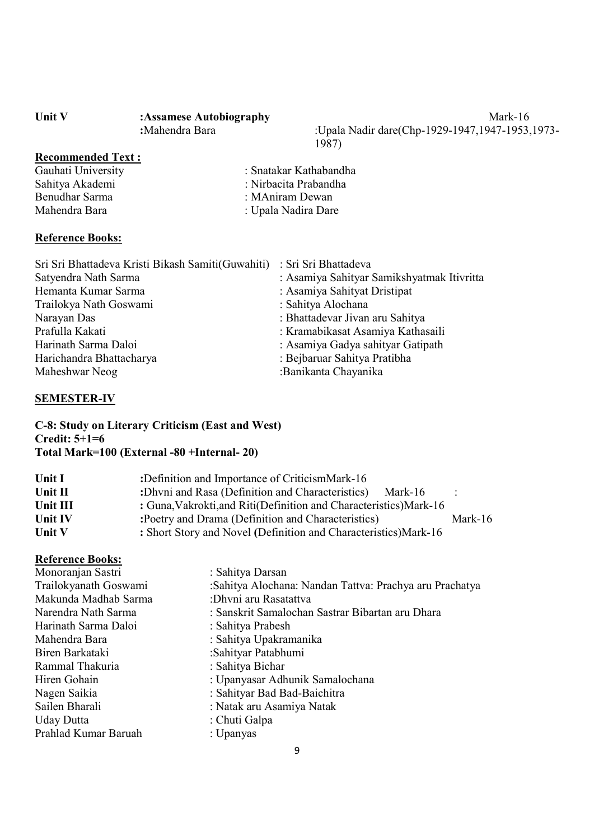| <b>Unit V</b> | :Assamese Autobiography | Mark-16                                             |
|---------------|-------------------------|-----------------------------------------------------|
|               | :Mahendra Bara          | :Upala Nadir dare(Chp-1929-1947,1947-1953,<br>1 ሰ0ጣ |

:Upala Nadir dare(Chp-1929-1947,1947-1953,1973-1987)

# **Recommended Text:**<br>Gauhati University

- Benudhar Sarma : MAniram Dewan Mahendra Bara : Upala Nadira Dare
- Gauhati University<br>
Shatakar Kathabandha<br>
Shatiya Akademi<br>
: Nirbacita Prabandha : Nirbacita Prabandha

### Reference Books:

| Sri Sri Bhattadeva Kristi Bikash Samiti(Guwahiti) | : Sri Sri Bhattadeva                       |
|---------------------------------------------------|--------------------------------------------|
| Satyendra Nath Sarma                              | : Asamiya Sahityar Samikshyatmak Itivritta |
| Hemanta Kumar Sarma                               | : Asamiya Sahityat Dristipat               |
| Trailokya Nath Goswami                            | : Sahitya Alochana                         |
| Narayan Das                                       | : Bhattadevar Jivan aru Sahitya            |
| Prafulla Kakati                                   | : Kramabikasat Asamiya Kathasaili          |
| Harinath Sarma Daloi                              | : Asamiya Gadya sahityar Gatipath          |
| Harichandra Bhattacharya                          | : Bejbaruar Sahitya Pratibha               |
| Maheshwar Neog                                    | :Banikanta Chayanika                       |

### SEMESTER-IV

C-8: Study on Literary Criticism (East and West) Credit: 5+1=6 Total Mark=100 (External -80 +Internal- 20)

| <b>Unit I</b> | :Definition and Importance of CriticismMark-16                      |           |
|---------------|---------------------------------------------------------------------|-----------|
| Unit II       | : Dhvni and Rasa (Definition and Characteristics)<br>Mark-16        | $\bullet$ |
| Unit III      | : Guna, Vakrokti, and Riti (Definition and Characteristics) Mark-16 |           |
| Unit IV       | : Poetry and Drama (Definition and Characteristics)<br>Mark-16      |           |
| Unit V        | : Short Story and Novel (Definition and Characteristics) Mark-16    |           |

### Reference Books:

| : Sahitya Darsan                                        |
|---------------------------------------------------------|
| :Sahitya Alochana: Nandan Tattva: Prachya aru Prachatya |
| :Dhvni aru Rasatattva                                   |
| : Sanskrit Samalochan Sastrar Bibartan aru Dhara        |
| : Sahitya Prabesh                                       |
| : Sahitya Upakramanika                                  |
| :Sahityar Patabhumi                                     |
| : Sahitya Bichar                                        |
| : Upanyasar Adhunik Samalochana                         |
| : Sahityar Bad Bad-Baichitra                            |
| : Natak aru Asamiya Natak                               |
| : Chuti Galpa                                           |
| : Upanyas                                               |
|                                                         |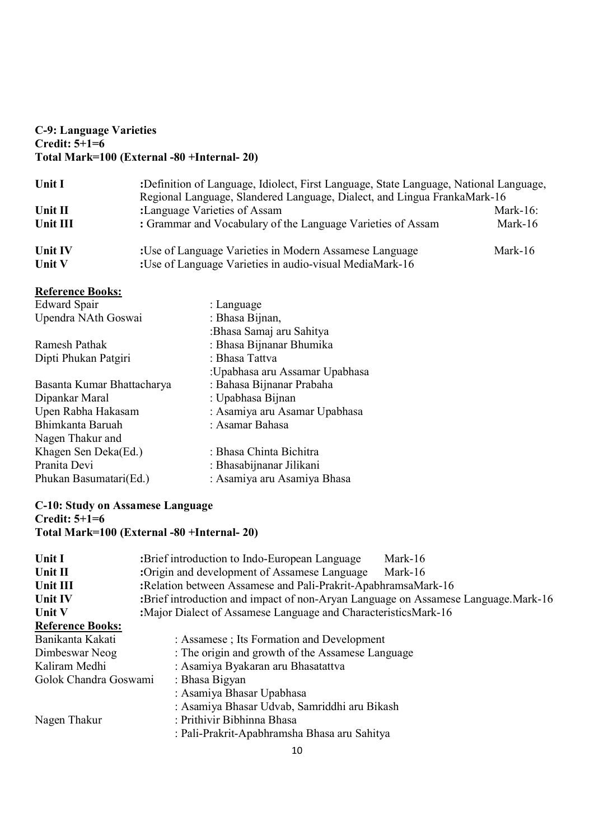### C-9: Language Varieties Credit:  $5+1=6$ Total Mark=100 (External -80 +Internal- 20)

| Unit I        | :Definition of Language, Idiolect, First Language, State Language, National Language,<br>Regional Language, Slandered Language, Dialect, and Lingua FrankaMark-16 |              |
|---------------|-------------------------------------------------------------------------------------------------------------------------------------------------------------------|--------------|
| Unit II       | :Language Varieties of Assam                                                                                                                                      | Mark- $16$ : |
| Unit III      | : Grammar and Vocabulary of the Language Varieties of Assam                                                                                                       | Mark-16      |
| Unit IV       | :Use of Language Varieties in Modern Assamese Language                                                                                                            | Mark-16      |
| <b>Unit V</b> | :Use of Language Varieties in audio-visual MediaMark-16                                                                                                           |              |

## Reference Books:

| <b>Edward Spair</b>        | : Language                     |
|----------------------------|--------------------------------|
| Upendra NAth Goswai        | : Bhasa Bijnan,                |
|                            | :Bhasa Samaj aru Sahitya       |
| Ramesh Pathak              | : Bhasa Bijnanar Bhumika       |
| Dipti Phukan Patgiri       | : Bhasa Tattva                 |
|                            | :Upabhasa aru Assamar Upabhasa |
| Basanta Kumar Bhattacharya | : Bahasa Bijnanar Prabaha      |
| Dipankar Maral             | : Upabhasa Bijnan              |
| Upen Rabha Hakasam         | : Asamiya aru Asamar Upabhasa  |
| Bhimkanta Baruah           | : Asamar Bahasa                |
| Nagen Thakur and           |                                |
| Khagen Sen Deka(Ed.)       | : Bhasa Chinta Bichitra        |
| Pranita Devi               | : Bhasabijnanar Jilikani       |
| Phukan Basumatari(Ed.)     | : Asamiya aru Asamiya Bhasa    |
|                            |                                |

### C-10: Study on Assamese Language Credit: 5+1=6 Total Mark=100 (External -80 +Internal- 20)

| Unit I                  | :Brief introduction to Indo-European Language<br>Mark-16                          |  |  |
|-------------------------|-----------------------------------------------------------------------------------|--|--|
| Unit II                 | :Origin and development of Assamese Language<br>Mark-16                           |  |  |
| Unit III                | :Relation between Assamese and Pali-Prakrit-ApabhramsaMark-16                     |  |  |
| Unit IV                 | :Brief introduction and impact of non-Aryan Language on Assamese Language.Mark-16 |  |  |
| Unit V                  | :Major Dialect of Assamese Language and CharacteristicsMark-16                    |  |  |
| <b>Reference Books:</b> |                                                                                   |  |  |
| Banikanta Kakati        | : Assamese; Its Formation and Development                                         |  |  |
| Dimbeswar Neog          | : The origin and growth of the Assamese Language                                  |  |  |
| Kaliram Medhi           | : Asamiya Byakaran aru Bhasatattva                                                |  |  |
| Golok Chandra Goswami   | : Bhasa Bigyan                                                                    |  |  |
|                         | : Asamiya Bhasar Upabhasa                                                         |  |  |
|                         | : Asamiya Bhasar Udvab, Samriddhi aru Bikash                                      |  |  |
| Nagen Thakur            | : Prithivir Bibhinna Bhasa                                                        |  |  |
|                         | : Pali-Prakrit-Apabhramsha Bhasa aru Sahitya                                      |  |  |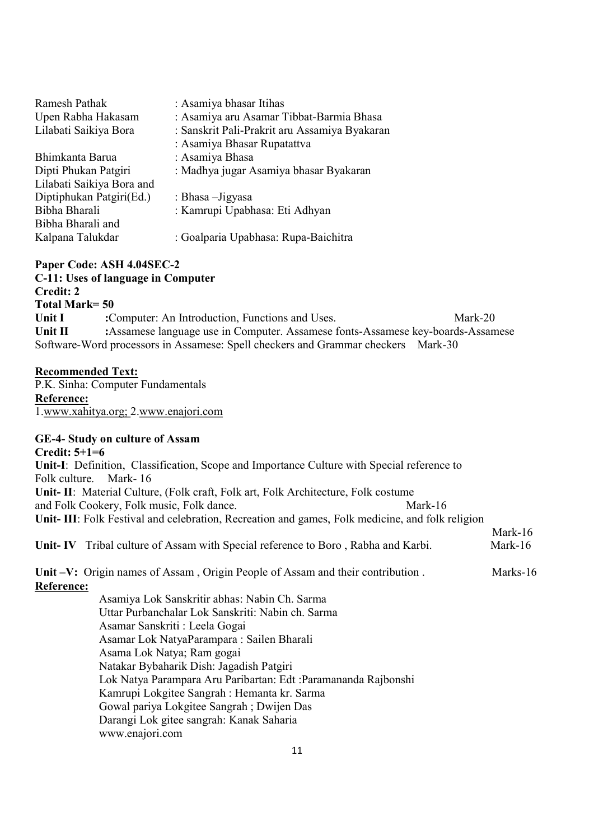| : Asamiya bhasar Itihas                       |
|-----------------------------------------------|
| : Asamiya aru Asamar Tibbat-Barmia Bhasa      |
| : Sanskrit Pali-Prakrit aru Assamiya Byakaran |
| : Asamiya Bhasar Rupatattva                   |
| : Asamiya Bhasa                               |
| : Madhya jugar Asamiya bhasar Byakaran        |
|                                               |
| : Bhasa - Jigyasa                             |
| : Kamrupi Upabhasa: Eti Adhyan                |
|                                               |
| : Goalparia Upabhasa: Rupa-Baichitra          |
|                                               |

# Paper Code: ASH 4.04SEC-2

|                | C-11: Uses of language in Computer                                                |         |  |
|----------------|-----------------------------------------------------------------------------------|---------|--|
| Credit: 2      |                                                                                   |         |  |
| Total Mark= 50 |                                                                                   |         |  |
| Unit I         | :Computer: An Introduction, Functions and Uses.                                   | Mark-20 |  |
| Unit II        | :Assamese language use in Computer. Assamese fonts-Assamese key-boards-Assamese   |         |  |
|                | Software-Word processors in Assamese: Spell checkers and Grammar checkers Mark-30 |         |  |

### Recommended Text:

P.K. Sinha: Computer Fundamentals Reference: 1.www.xahitya.org; 2.www.enajori.com

# GE-4- Study on culture of Assam

| GE-4- Study on culture of Assam                                                                 |          |
|-------------------------------------------------------------------------------------------------|----------|
| Credit: $5+1=6$                                                                                 |          |
| Unit-I: Definition, Classification, Scope and Importance Culture with Special reference to      |          |
| Mark- $16$<br>Folk culture.                                                                     |          |
| Unit-II: Material Culture, (Folk craft, Folk art, Folk Architecture, Folk costume               |          |
| and Folk Cookery, Folk music, Folk dance.<br>Mark-16                                            |          |
| Unit-III: Folk Festival and celebration, Recreation and games, Folk medicine, and folk religion |          |
|                                                                                                 | Mark-16  |
| <b>Unit-IV</b> Tribal culture of Assam with Special reference to Boro, Rabha and Karbi.         | Mark-16  |
|                                                                                                 |          |
| Unit -V: Origin names of Assam, Origin People of Assam and their contribution.                  | Marks-16 |
| Reference:                                                                                      |          |
| Asamiya Lok Sanskritir abhas: Nabin Ch. Sarma                                                   |          |
| Uttar Purbanchalar Lok Sanskriti: Nabin ch. Sarma                                               |          |
| Asamar Sanskriti : Leela Gogai                                                                  |          |
| Asamar Lok NatyaParampara : Sailen Bharali                                                      |          |
| Asama Lok Natya; Ram gogai                                                                      |          |
| Natakar Bybaharik Dish: Jagadish Patgiri                                                        |          |
| Lok Natya Parampara Aru Paribartan: Edt : Paramananda Rajbonshi                                 |          |
| Kamrupi Lokgitee Sangrah : Hemanta kr. Sarma                                                    |          |
| Gowal pariya Lokgitee Sangrah; Dwijen Das                                                       |          |
| Darangi Lok gitee sangrah: Kanak Saharia                                                        |          |
| www.enajori.com                                                                                 |          |
|                                                                                                 |          |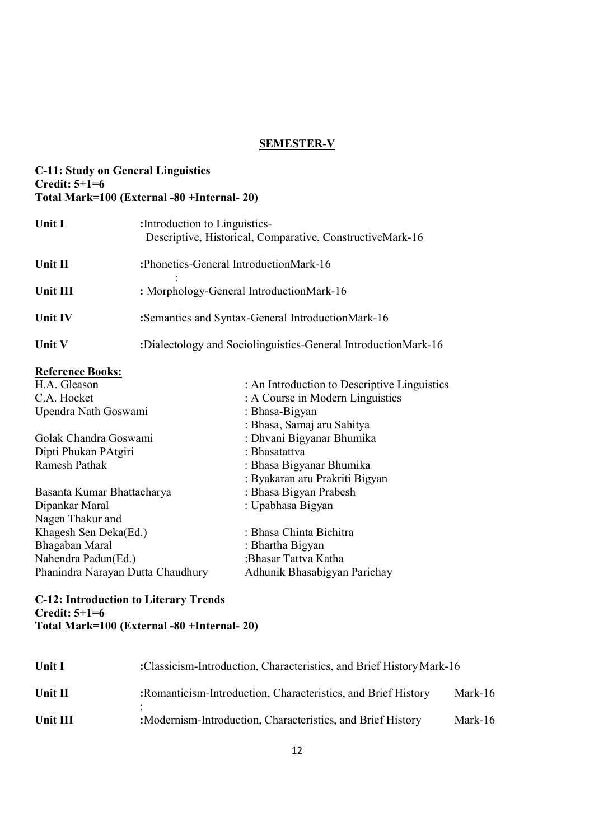## SEMESTER-V

### C-11: Study on General Linguistics Credit:  $5+1=6$ Total Mark=100 (External -80 +Internal- 20)

| Unit I         | : Introduction to Linguistics-<br>Descriptive, Historical, Comparative, ConstructiveMark-16 |
|----------------|---------------------------------------------------------------------------------------------|
| Unit II        | :Phonetics-General IntroductionMark-16                                                      |
| Unit III       | : Morphology-General IntroductionMark-16                                                    |
| <b>Unit IV</b> | :Semantics and Syntax-General IntroductionMark-16                                           |
| Unit V         | :Dialectology and Sociolinguistics-General IntroductionMark-16                              |
|                |                                                                                             |

# Reference Books:

| H.A. Gleason                      | : An Introduction to Descriptive Linguistics |
|-----------------------------------|----------------------------------------------|
| C.A. Hocket                       | : A Course in Modern Linguistics             |
| Upendra Nath Goswami              | : Bhasa-Bigyan                               |
|                                   | : Bhasa, Samaj aru Sahitya                   |
| Golak Chandra Goswami             | : Dhvani Bigyanar Bhumika                    |
| Dipti Phukan PAtgiri              | : Bhasatattva                                |
| Ramesh Pathak                     | : Bhasa Bigyanar Bhumika                     |
|                                   | : Byakaran aru Prakriti Bigyan               |
| Basanta Kumar Bhattacharya        | : Bhasa Bigyan Prabesh                       |
| Dipankar Maral                    | : Upabhasa Bigyan                            |
| Nagen Thakur and                  |                                              |
| Khagesh Sen Deka(Ed.)             | : Bhasa Chinta Bichitra                      |
| Bhagaban Maral                    | : Bhartha Bigyan                             |
| Nahendra Padun(Ed.)               | :Bhasar Tattva Katha                         |
| Phanindra Narayan Dutta Chaudhury | Adhunik Bhasabigyan Parichay                 |
|                                   |                                              |

C-12: Introduction to Literary Trends Credit: 5+1=6 Total Mark=100 (External -80 +Internal- 20)

| <b>Unit I</b> | :Classicism-Introduction, Characteristics, and Brief History Mark-16 |         |  |  |
|---------------|----------------------------------------------------------------------|---------|--|--|
| Unit II       | : Romanticism-Introduction, Characteristics, and Brief History       | Mark-16 |  |  |
| Unit III      | : Modernism-Introduction, Characteristics, and Brief History         | Mark-16 |  |  |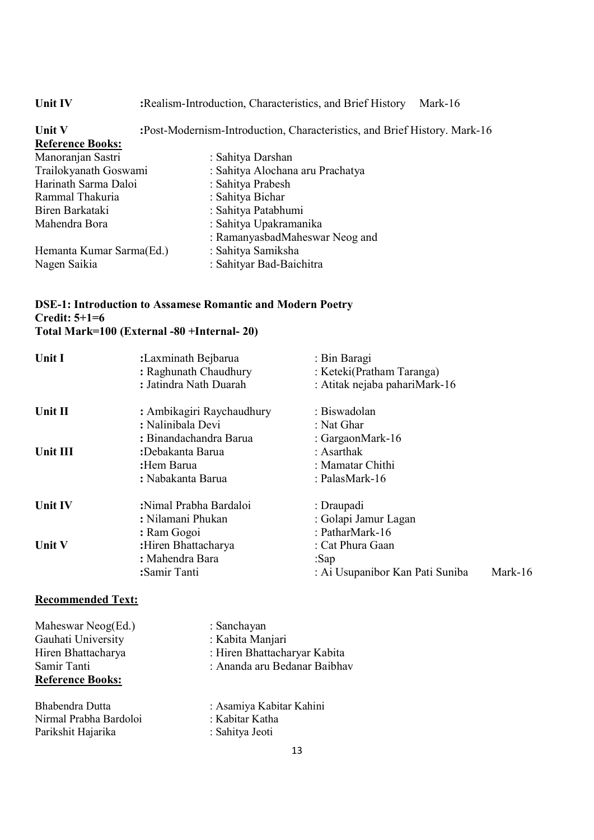| : Realism-Introduction, Characteristics, and Brief History<br>Mark-16     |  |  |
|---------------------------------------------------------------------------|--|--|
| :Post-Modernism-Introduction, Characteristics, and Brief History. Mark-16 |  |  |
|                                                                           |  |  |
| : Sahitya Darshan                                                         |  |  |
| : Sahitya Alochana aru Prachatya<br>Trailokyanath Goswami                 |  |  |
| : Sahitya Prabesh                                                         |  |  |
| : Sahitya Bichar                                                          |  |  |
| : Sahitya Patabhumi                                                       |  |  |
| : Sahitya Upakramanika                                                    |  |  |
| : RamanyasbadMaheswar Neog and                                            |  |  |
| : Sahitya Samiksha<br>Hemanta Kumar Sarma(Ed.)                            |  |  |
| : Sahityar Bad-Baichitra                                                  |  |  |
| Harinath Sarma Daloi                                                      |  |  |

## DSE-1: Introduction to Assamese Romantic and Modern Poetry Credit: 5+1=6 Total Mark=100 (External -80 +Internal- 20)

| Unit I        | :Laxminath Bejbarua<br>: Raghunath Chaudhury<br>: Jatindra Nath Duarah | : Bin Baragi<br>: Keteki(Pratham Taranga)<br>: Atitak nejaba pahariMark-16 |            |
|---------------|------------------------------------------------------------------------|----------------------------------------------------------------------------|------------|
| Unit II       | : Ambikagiri Raychaudhury                                              | : Biswadolan                                                               |            |
|               | : Nalinibala Devi                                                      | : Nat Ghar                                                                 |            |
|               | : Binandachandra Barua                                                 | : GargaonMark-16                                                           |            |
| Unit III      | :Debakanta Barua                                                       | : Asarthak                                                                 |            |
|               | :Hem Barua                                                             | : Mamatar Chithi                                                           |            |
|               | : Nabakanta Barua                                                      | : PalasMark-16                                                             |            |
| Unit IV       | :Nimal Prabha Bardaloi                                                 | : Draupadi                                                                 |            |
|               | : Nilamani Phukan                                                      | : Golapi Jamur Lagan                                                       |            |
|               | : Ram Gogoi                                                            | : PatharMark-16                                                            |            |
| <b>Unit V</b> | :Hiren Bhattacharya                                                    | : Cat Phura Gaan                                                           |            |
|               | : Mahendra Bara                                                        | :Sap                                                                       |            |
|               | :Samir Tanti                                                           | : Ai Usupanibor Kan Pati Suniba                                            | Mark- $16$ |

### Recommended Text:

Maheswar Neog(Ed.) : Sanchayan<br>Gauhati University : Kabita Manjari Gauhati University Reference Books:

Bhabendra Dutta<br>
Nirmal Prabha Bardoloi : Kabitar Katha<br>
: Kabitar Katha<br>
: Kabitar Katha Nirmal Prabha Bardoloi : Kabitar Katha<br>Parikshit Hajarika : Sahitya Jeoti Parikshit Hajarika

Hiren Bhattacharya : Hiren Bhattacharyar Kabita Samir Tanti : Ananda aru Bedanar Baibhav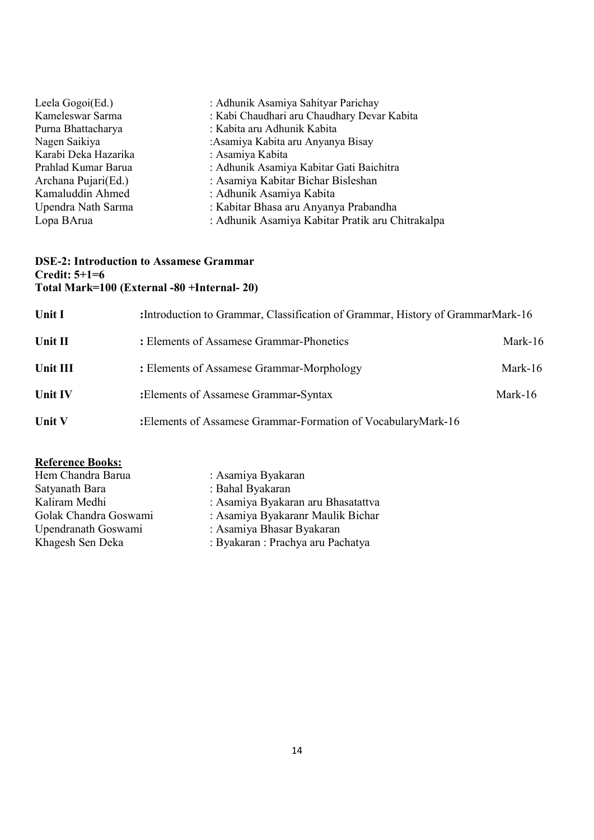| Leela Gogoi(Ed.)     | : Adhunik Asamiya Sahityar Parichay              |
|----------------------|--------------------------------------------------|
| Kameleswar Sarma     | : Kabi Chaudhari aru Chaudhary Devar Kabita      |
| Purna Bhattacharya   | : Kabita aru Adhunik Kabita                      |
| Nagen Saikiya        | :Asamiya Kabita aru Anyanya Bisay                |
| Karabi Deka Hazarika | : Asamiya Kabita                                 |
| Prahlad Kumar Barua  | : Adhunik Asamiya Kabitar Gati Baichitra         |
| Archana Pujari(Ed.)  | : Asamiya Kabitar Bichar Bisleshan               |
| Kamaluddin Ahmed     | : Adhunik Asamiya Kabita                         |
| Upendra Nath Sarma   | : Kabitar Bhasa aru Anyanya Prabandha            |
| Lopa BArua           | : Adhunik Asamiya Kabitar Pratik aru Chitrakalpa |
|                      |                                                  |

### DSE-2: Introduction to Assamese Grammar Credit: 5+1=6 Total Mark=100 (External -80 +Internal- 20)

| Unit I         | : Introduction to Grammar, Classification of Grammar, History of GrammarMark-16 |            |
|----------------|---------------------------------------------------------------------------------|------------|
| Unit II        | : Elements of Assamese Grammar-Phonetics                                        | Mark- $16$ |
| Unit III       | : Elements of Assamese Grammar-Morphology                                       | Mark- $16$ |
| <b>Unit IV</b> | : Elements of Assamese Grammar-Syntax                                           | Mark-16    |
| Unit V         | :Elements of Assamese Grammar-Formation of VocabularyMark-16                    |            |

# Reference Books:

| Hem Chandra Barua     | : Asamiya Byakaran                 |
|-----------------------|------------------------------------|
| Satyanath Bara        | : Bahal Byakaran                   |
| Kaliram Medhi         | : Asamiya Byakaran aru Bhasatattva |
| Golak Chandra Goswami | : Asamiya Byakaranr Maulik Bichar  |
| Upendranath Goswami   | : Asamiya Bhasar Byakaran          |
| Khagesh Sen Deka      | : Byakaran : Prachya aru Pachatya  |
|                       |                                    |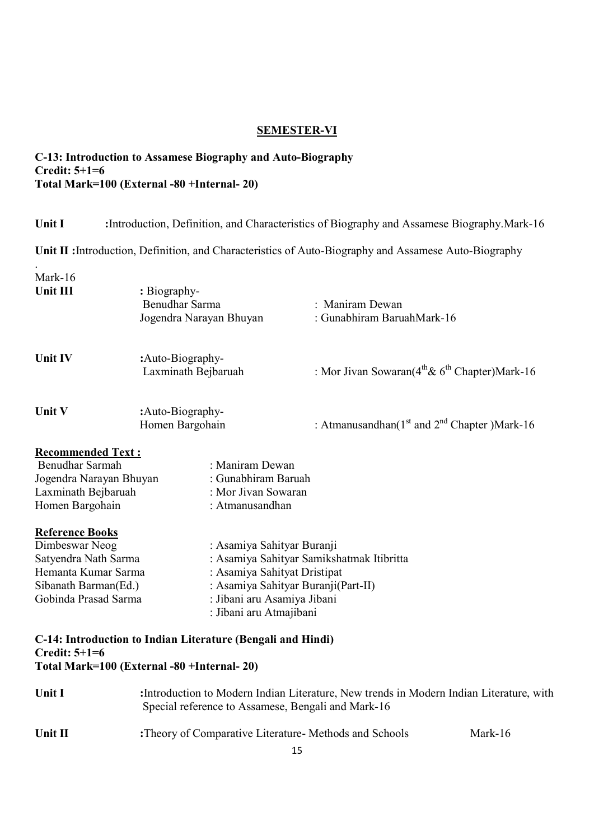### SEMESTER-VI

### C-13: Introduction to Assamese Biography and Auto-Biography Credit: 5+1=6 Total Mark=100 (External -80 +Internal- 20)

.

Unit I :Introduction, Definition, and Characteristics of Biography and Assamese Biography.Mark-16

Unit II :Introduction, Definition, and Characteristics of Auto-Biography and Assamese Auto-Biography

| Mark-16<br>Unit III                                                                                                                     | : Biography-<br>Benudhar Sarma<br>Jogendra Narayan Bhuyan                                                                                                   | : Maniram Dewan<br>: Gunabhiram BaruahMark-16            |         |
|-----------------------------------------------------------------------------------------------------------------------------------------|-------------------------------------------------------------------------------------------------------------------------------------------------------------|----------------------------------------------------------|---------|
| Unit IV                                                                                                                                 | :Auto-Biography-<br>Laxminath Bejbaruah                                                                                                                     | : Mor Jivan Sowaran( $4^{th}$ & $6^{th}$ Chapter)Mark-16 |         |
| Unit V                                                                                                                                  | :Auto-Biography-<br>Homen Bargohain                                                                                                                         | : Atmanusandhan( $1st$ and $2nd$ Chapter)Mark-16         |         |
| <b>Recommended Text:</b><br><b>Benudhar Sarmah</b><br>Jogendra Narayan Bhuyan<br>Laxminath Bejbaruah<br>Homen Bargohain                 | : Maniram Dewan<br>: Gunabhiram Baruah<br>: Mor Jivan Sowaran<br>: Atmanusandhan                                                                            |                                                          |         |
| <b>Reference Books</b><br>Dimbeswar Neog<br>Satyendra Nath Sarma<br>Hemanta Kumar Sarma<br>Sibanath Barman(Ed.)<br>Gobinda Prasad Sarma | : Asamiya Sahityar Buranji<br>: Asamiya Sahityat Dristipat<br>: Asamiya Sahityar Buranji(Part-II)<br>: Jibani aru Asamiya Jibani<br>: Jibani aru Atmajibani | : Asamiya Sahityar Samikshatmak Itibritta                |         |
| Credit: $5+1=6$                                                                                                                         | C-14: Introduction to Indian Literature (Bengali and Hindi)<br>Total Mark=100 (External -80 +Internal- 20)                                                  |                                                          |         |
| Unit I                                                                                                                                  | : Introduction to Modern Indian Literature, New trends in Modern Indian Literature, with<br>Special reference to Assamese, Bengali and Mark-16              |                                                          |         |
| Unit II                                                                                                                                 | :Theory of Comparative Literature- Methods and Schools                                                                                                      |                                                          | Mark-16 |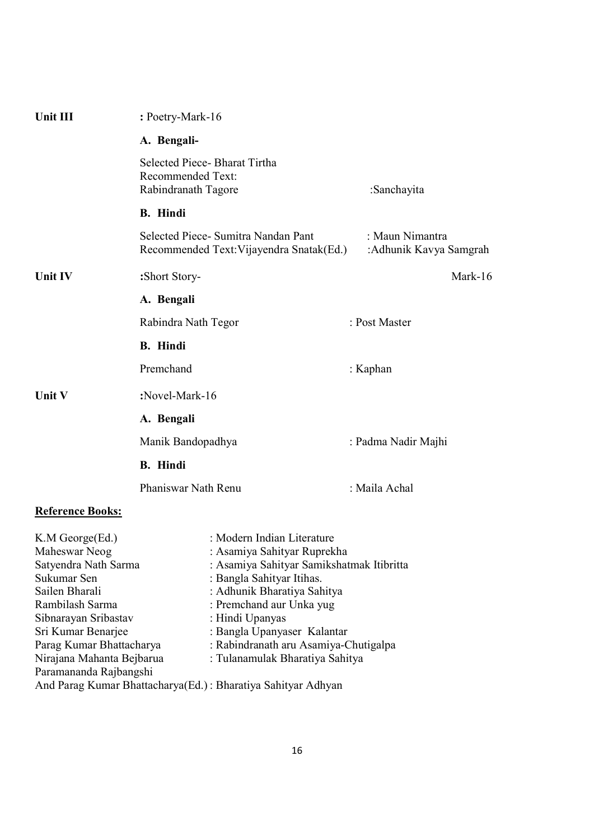| Unit III                                                                                                                                                                                                                                      | : Poetry-Mark-16                         |                                                                                                                                                                                                                                                                                                                              |                                           |  |
|-----------------------------------------------------------------------------------------------------------------------------------------------------------------------------------------------------------------------------------------------|------------------------------------------|------------------------------------------------------------------------------------------------------------------------------------------------------------------------------------------------------------------------------------------------------------------------------------------------------------------------------|-------------------------------------------|--|
|                                                                                                                                                                                                                                               | A. Bengali-                              |                                                                                                                                                                                                                                                                                                                              |                                           |  |
|                                                                                                                                                                                                                                               | Recommended Text:<br>Rabindranath Tagore | Selected Piece-Bharat Tirtha                                                                                                                                                                                                                                                                                                 | :Sanchayita                               |  |
|                                                                                                                                                                                                                                               | <b>B.</b> Hindi                          |                                                                                                                                                                                                                                                                                                                              |                                           |  |
|                                                                                                                                                                                                                                               |                                          | Selected Piece- Sumitra Nandan Pant<br>Recommended Text: Vijayendra Snatak (Ed.)                                                                                                                                                                                                                                             | : Maun Nimantra<br>:Adhunik Kavya Samgrah |  |
| Unit IV                                                                                                                                                                                                                                       | :Short Story-                            |                                                                                                                                                                                                                                                                                                                              | Mark-16                                   |  |
|                                                                                                                                                                                                                                               | A. Bengali                               |                                                                                                                                                                                                                                                                                                                              |                                           |  |
|                                                                                                                                                                                                                                               | Rabindra Nath Tegor                      |                                                                                                                                                                                                                                                                                                                              | : Post Master                             |  |
|                                                                                                                                                                                                                                               | <b>B.</b> Hindi                          |                                                                                                                                                                                                                                                                                                                              |                                           |  |
|                                                                                                                                                                                                                                               | Premchand                                |                                                                                                                                                                                                                                                                                                                              | : Kaphan                                  |  |
| Unit V                                                                                                                                                                                                                                        | :Novel-Mark-16                           |                                                                                                                                                                                                                                                                                                                              |                                           |  |
|                                                                                                                                                                                                                                               | A. Bengali                               |                                                                                                                                                                                                                                                                                                                              |                                           |  |
|                                                                                                                                                                                                                                               | Manik Bandopadhya                        |                                                                                                                                                                                                                                                                                                                              | : Padma Nadir Majhi                       |  |
|                                                                                                                                                                                                                                               |                                          |                                                                                                                                                                                                                                                                                                                              |                                           |  |
|                                                                                                                                                                                                                                               | <b>B.</b> Hindi                          |                                                                                                                                                                                                                                                                                                                              |                                           |  |
|                                                                                                                                                                                                                                               | Phaniswar Nath Renu                      |                                                                                                                                                                                                                                                                                                                              | : Maila Achal                             |  |
| <b>Reference Books:</b>                                                                                                                                                                                                                       |                                          |                                                                                                                                                                                                                                                                                                                              |                                           |  |
| K.M George(Ed.)<br>Maheswar Neog<br>Satyendra Nath Sarma<br>Sukumar Sen<br>Sailen Bharali<br>Rambilash Sarma<br>Sibnarayan Sribastav<br>Sri Kumar Benarjee<br>Parag Kumar Bhattacharya<br>Nirajana Mahanta Bejbarua<br>Paramananda Rajbangshi |                                          | : Modern Indian Literature<br>: Asamiya Sahityar Ruprekha<br>: Asamiya Sahityar Samikshatmak Itibritta<br>: Bangla Sahityar Itihas.<br>: Adhunik Bharatiya Sahitya<br>: Premchand aur Unka yug<br>: Hindi Upanyas<br>: Bangla Upanyaser Kalantar<br>: Rabindranath aru Asamiya-Chutigalpa<br>: Tulanamulak Bharatiya Sahitya |                                           |  |
|                                                                                                                                                                                                                                               |                                          | And Parag Kumar Bhattacharya(Ed.): Bharatiya Sahityar Adhyan                                                                                                                                                                                                                                                                 |                                           |  |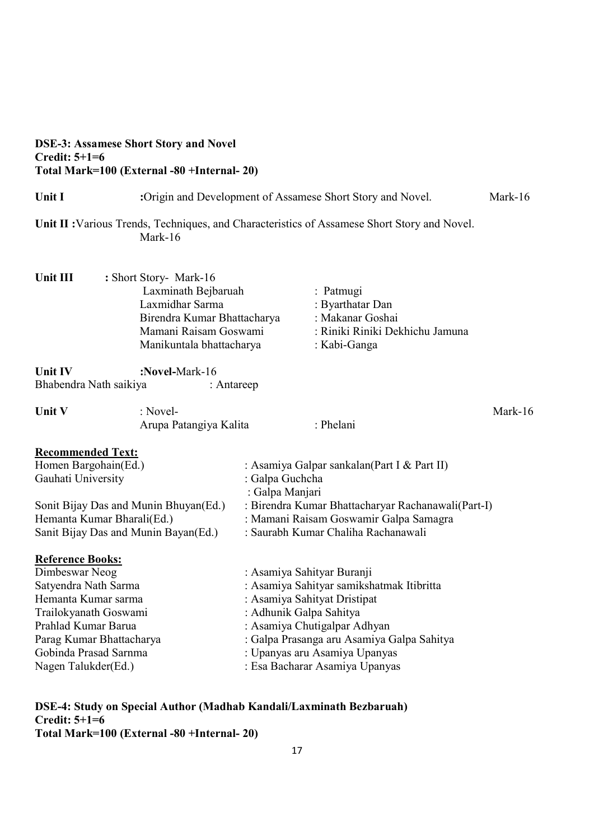| <b>DSE-3: Assamese Short Story and Novel</b> |
|----------------------------------------------|
| <b>Credit: <math>5+1=6</math></b>            |
| Total Mark=100 (External -80 +Internal- 20)  |

| Unit I                                | :Origin and Development of Assamese Short Story and Novel.                                                                                           |                                        | Mark-16                                                                                              |         |
|---------------------------------------|------------------------------------------------------------------------------------------------------------------------------------------------------|----------------------------------------|------------------------------------------------------------------------------------------------------|---------|
|                                       | Mark-16                                                                                                                                              |                                        | Unit II : Various Trends, Techniques, and Characteristics of Assamese Short Story and Novel.         |         |
| Unit III                              | : Short Story- Mark-16<br>Laxminath Bejbaruah<br>Laxmidhar Sarma<br>Birendra Kumar Bhattacharya<br>Mamani Raisam Goswami<br>Manikuntala bhattacharya |                                        | : Patmugi<br>: Byarthatar Dan<br>: Makanar Goshai<br>: Riniki Riniki Dekhichu Jamuna<br>: Kabi-Ganga |         |
| <b>Unit IV</b>                        | :Novel-Mark-16                                                                                                                                       |                                        |                                                                                                      |         |
| Bhabendra Nath saikiya                | : Antareep                                                                                                                                           |                                        |                                                                                                      |         |
| Unit V                                | : Novel-<br>Arupa Patangiya Kalita                                                                                                                   |                                        | : Phelani                                                                                            | Mark-16 |
| <b>Recommended Text:</b>              |                                                                                                                                                      |                                        |                                                                                                      |         |
| Homen Bargohain(Ed.)                  |                                                                                                                                                      |                                        | : Asamiya Galpar sankalan(Part I & Part II)                                                          |         |
| Gauhati University                    |                                                                                                                                                      | : Galpa Guchcha                        |                                                                                                      |         |
|                                       |                                                                                                                                                      | : Galpa Manjari                        |                                                                                                      |         |
| Sonit Bijay Das and Munin Bhuyan(Ed.) |                                                                                                                                                      |                                        | : Birendra Kumar Bhattacharyar Rachanawali(Part-I)                                                   |         |
| Hemanta Kumar Bharali(Ed.)            |                                                                                                                                                      | : Mamani Raisam Goswamir Galpa Samagra |                                                                                                      |         |
| Sanit Bijay Das and Munin Bayan(Ed.)  |                                                                                                                                                      |                                        | : Saurabh Kumar Chaliha Rachanawali                                                                  |         |
| <b>Reference Books:</b>               |                                                                                                                                                      |                                        |                                                                                                      |         |
| Dimbeswar Neog                        |                                                                                                                                                      | : Asamiya Sahityar Buranji             |                                                                                                      |         |
| Satyendra Nath Sarma                  |                                                                                                                                                      |                                        | : Asamiya Sahityar samikshatmak Itibritta                                                            |         |
| Hemanta Kumar sarma                   |                                                                                                                                                      |                                        | : Asamiya Sahityat Dristipat                                                                         |         |
| Trailokyanath Goswami                 |                                                                                                                                                      | : Adhunik Galpa Sahitya                |                                                                                                      |         |
| Prahlad Kumar Barua                   |                                                                                                                                                      |                                        | : Asamiya Chutigalpar Adhyan                                                                         |         |
| Parag Kumar Bhattacharya              |                                                                                                                                                      |                                        | : Galpa Prasanga aru Asamiya Galpa Sahitya                                                           |         |
| Gobinda Prasad Sarnma                 |                                                                                                                                                      |                                        | : Upanyas aru Asamiya Upanyas                                                                        |         |
| Nagen Talukder(Ed.)                   |                                                                                                                                                      |                                        | : Esa Bacharar Asamiya Upanyas                                                                       |         |
|                                       |                                                                                                                                                      |                                        |                                                                                                      |         |

DSE-4: Study on Special Author (Madhab Kandali/Laxminath Bezbaruah)  $Credit: 5+1=6$ Total Mark=100 (External -80 +Internal- 20)